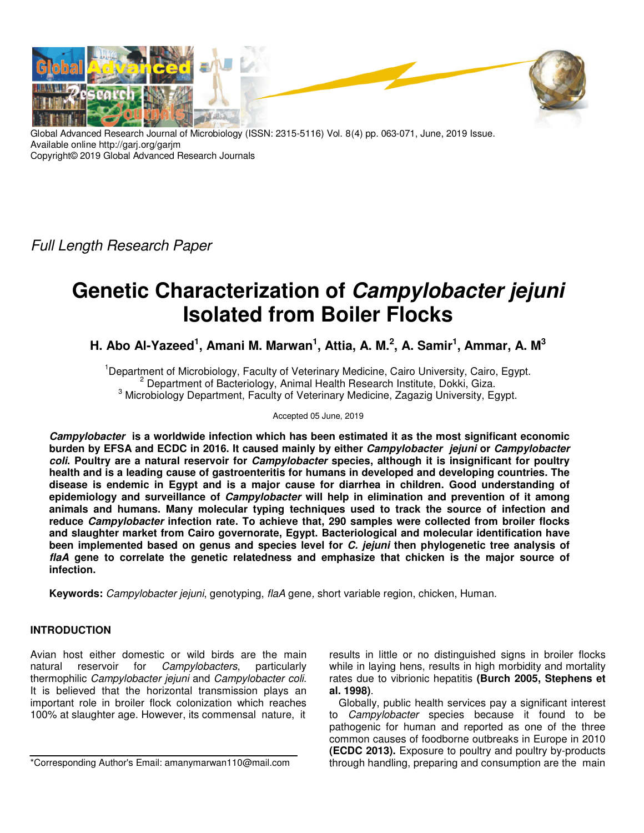

Global Advanced Research Journal of Microbiology (ISSN: 2315-5116) Vol. 8(4) pp. 063-071, June, 2019 Issue. Available online http://garj.org/garjm Copyright© 2019 Global Advanced Research Journals

Full Length Research Paper

# **Genetic Characterization of Campylobacter jejuni Isolated from Boiler Flocks**

**H. Abo Al-Yazeed<sup>1</sup> , Amani M. Marwan<sup>1</sup> , Attia, A. M.<sup>2</sup> , A. Samir<sup>1</sup> , Ammar, A. M<sup>3</sup>**

<sup>1</sup>Department of Microbiology, Faculty of Veterinary Medicine, Cairo University, Cairo, Egypt. <sup>2</sup> Department of Bacteriology, Animal Health Research Institute, Dokki, Giza. <sup>3</sup> Microbiology Department, Faculty of Veterinary Medicine, Zagazig University, Egypt.

Accepted 05 June, 2019

**Campylobacter is a worldwide infection which has been estimated it as the most significant economic burden by EFSA and ECDC in 2016. It caused mainly by either Campylobacter jejuni or Campylobacter coli. Poultry are a natural reservoir for Campylobacter species, although it is insignificant for poultry health and is a leading cause of gastroenteritis for humans in developed and developing countries. The disease is endemic in Egypt and is a major cause for diarrhea in children. Good understanding of epidemiology and surveillance of Campylobacter will help in elimination and prevention of it among animals and humans. Many molecular typing techniques used to track the source of infection and reduce Campylobacter infection rate. To achieve that, 290 samples were collected from broiler flocks and slaughter market from Cairo governorate, Egypt. Bacteriological and molecular identification have been implemented based on genus and species level for C. jejuni then phylogenetic tree analysis of flaA gene to correlate the genetic relatedness and emphasize that chicken is the major source of infection.** 

**Keywords:** Campylobacter jejuni, genotyping, flaA gene, short variable region, chicken, Human.

# **INTRODUCTION**

Avian host either domestic or wild birds are the main natural reservoir for *Campylobacters*, particularly thermophilic Campylobacter jejuni and Campylobacter coli. It is believed that the horizontal transmission plays an important role in broiler flock colonization which reaches 100% at slaughter age. However, its commensal nature, it

\*Corresponding Author's Email: amanymarwan110@mail.com

results in little or no distinguished signs in broiler flocks while in laying hens, results in high morbidity and mortality rates due to vibrionic hepatitis **(Burch 2005, Stephens et al. 1998)**.

Globally, public health services pay a significant interest to Campylobacter species because it found to be pathogenic for human and reported as one of the three common causes of foodborne outbreaks in Europe in 2010 **(ECDC 2013).** Exposure to poultry and poultry by-products through handling, preparing and consumption are the main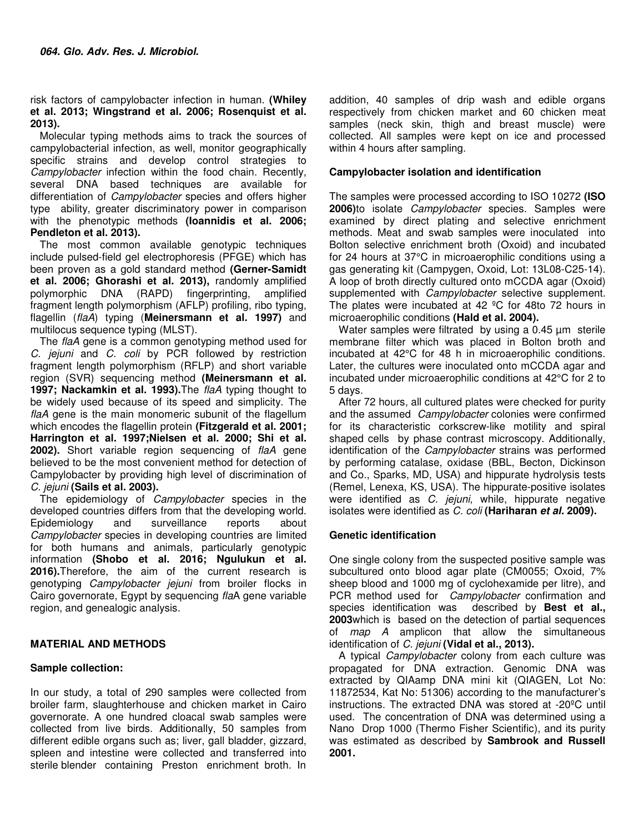risk factors of campylobacter infection in human. **(Whiley et al. 2013; Wingstrand et al. 2006; Rosenquist et al. 2013).**

Molecular typing methods aims to track the sources of campylobacterial infection, as well, monitor geographically specific strains and develop control strategies to Campylobacter infection within the food chain. Recently, several DNA based techniques are available for differentiation of *Campylobacter* species and offers higher type ability, greater discriminatory power in comparison with the phenotypic methods **(Ioannidis et al. 2006; Pendleton et al. 2013).**

The most common available genotypic techniques include pulsed-field gel electrophoresis (PFGE) which has been proven as a gold standard method **(Gerner-Samidt et al. 2006; Ghorashi et al. 2013),** randomly amplified polymorphic DNA (RAPD) fingerprinting, amplified fragment length polymorphism (AFLP) profiling, ribo typing, flagellin (flaA) typing (**Meinersmann et al. 1997)** and multilocus sequence typing (MLST).

The flaA gene is a common genotyping method used for C. jejuni and C. coli by PCR followed by restriction fragment length polymorphism (RFLP) and short variable region (SVR) sequencing method **(Meinersmann et al. 1997; Nackamkin et al. 1993).**The flaA typing thought to be widely used because of its speed and simplicity. The flaA gene is the main monomeric subunit of the flagellum which encodes the flagellin protein **(Fitzgerald et al. 2001; Harrington et al. 1997;Nielsen et al. 2000; Shi et al. 2002).** Short variable region sequencing of flaA gene believed to be the most convenient method for detection of Campylobacter by providing high level of discrimination of C. jejuni **(Sails et al. 2003).**

The epidemiology of *Campylobacter* species in the developed countries differs from that the developing world. Epidemiology and surveillance reports about Campylobacter species in developing countries are limited for both humans and animals, particularly genotypic information **(Shobo et al. 2016; Ngulukun et al. 2016).**Therefore, the aim of the current research is genotyping Campylobacter jejuni from broiler flocks in Cairo governorate, Egypt by sequencing flaA gene variable region, and genealogic analysis.

## **MATERIAL AND METHODS**

## **Sample collection:**

In our study, a total of 290 samples were collected from broiler farm, slaughterhouse and chicken market in Cairo governorate. A one hundred cloacal swab samples were collected from live birds. Additionally, 50 samples from different edible organs such as; liver, gall bladder, gizzard, spleen and intestine were collected and transferred into sterile blender containing Preston enrichment broth. In

addition, 40 samples of drip wash and edible organs respectively from chicken market and 60 chicken meat samples (neck skin, thigh and breast muscle) were collected. All samples were kept on ice and processed within 4 hours after sampling.

#### **Campylobacter isolation and identification**

The samples were processed according to ISO 10272 **(ISO 2006)**to isolate Campylobacter species. Samples were examined by direct plating and selective enrichment methods. Meat and swab samples were inoculated into Bolton selective enrichment broth (Oxoid) and incubated for 24 hours at 37°C in microaerophilic conditions using a gas generating kit (Campygen, Oxoid, Lot: 13L08-C25-14). A loop of broth directly cultured onto mCCDA agar (Oxoid) supplemented with *Campylobacter* selective supplement. The plates were incubated at  $42 \degree$ C for 48to 72 hours in microaerophilic conditions **(Hald et al. 2004).**

Water samples were filtrated by using a 0.45  $\mu$ m sterile membrane filter which was placed in Bolton broth and incubated at 42°C for 48 h in microaerophilic conditions. Later, the cultures were inoculated onto mCCDA agar and incubated under microaerophilic conditions at 42°C for 2 to 5 days.

After 72 hours, all cultured plates were checked for purity and the assumed Campylobacter colonies were confirmed for its characteristic corkscrew-like motility and spiral shaped cells by phase contrast microscopy. Additionally, identification of the *Campylobacter* strains was performed by performing catalase, oxidase (BBL, Becton, Dickinson and Co., Sparks, MD, USA) and hippurate hydrolysis tests (Remel, Lenexa, KS, USA). The hippurate-positive isolates were identified as C. jejuni, while, hippurate negative isolates were identified as C. coli **(Hariharan et al. 2009).**

## **Genetic identification**

One single colony from the suspected positive sample was subcultured onto blood agar plate (CM0055; Oxoid, 7% sheep blood and 1000 mg of cyclohexamide per litre), and PCR method used for *Campylobacter* confirmation and species identification was described by **Best et al., 2003**which is based on the detection of partial sequences of map A amplicon that allow the simultaneous identification of C. jejuni **(Vidal et al., 2013).**

A typical *Campylobacter* colony from each culture was propagated for DNA extraction. Genomic DNA was extracted by QIAamp DNA mini kit (QIAGEN, Lot No: 11872534, Kat No: 51306) according to the manufacturer's instructions. The extracted DNA was stored at -20ºC until used. The concentration of DNA was determined using a Nano Drop 1000 (Thermo Fisher Scientific), and its purity was estimated as described by **Sambrook and Russell 2001.**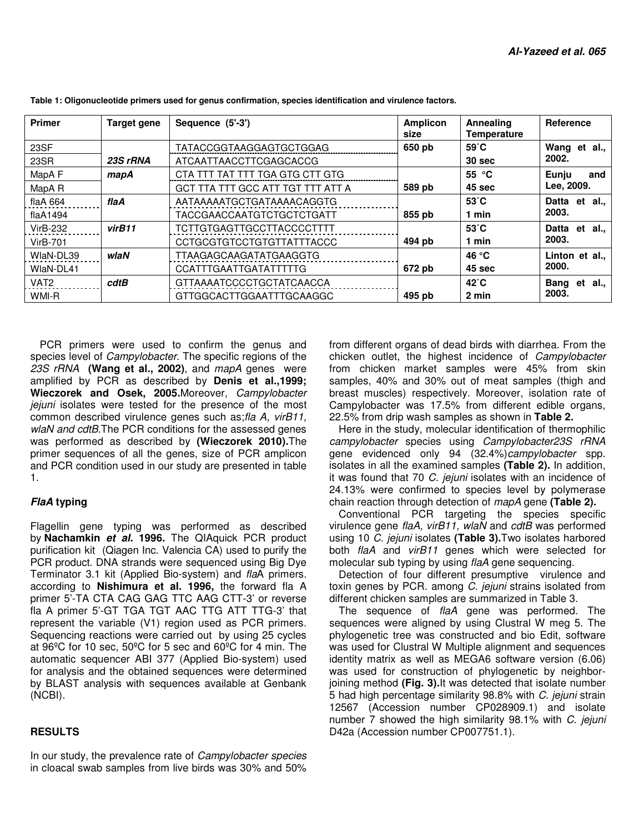| <b>Primer</b>     | Target gene | Sequence (5'-3')                  | <b>Amplicon</b><br>size | Annealing<br>Temperature | <b>Reference</b>    |
|-------------------|-------------|-----------------------------------|-------------------------|--------------------------|---------------------|
| 23SF              |             | TATACCGGTAAGGAGTGCTGGAG           | 650 pb                  | $59^{\circ}$ C           | Wang et<br>al.,     |
| 23SR              | 23S rRNA    | ATCAATTAACCTTCGAGCACCG            |                         | 30 sec                   | 2002.               |
| MapA F            | mapA        | CTA TTT TAT TTT TGA GTG CTT GTG   |                         | 55 $°C$                  | Eunju<br>and        |
| MapA <sub>R</sub> |             | GCT TTA TTT GCC ATT TGT TTT ATT A | 589 pb                  | 45 sec                   | Lee, 2009.          |
| flaA $664$        | flaA        | AATAAAAATGCTGATAAAACAGGTG         |                         | $53^{\circ}$ C           | Datta<br>al.,<br>et |
| flaA1494          |             | <b>TACCGAACCAATGTCTGCTCTGATT</b>  | 855 pb                  | 1 min                    | 2003.               |
| <b>VirB-232</b>   | virB11      | <b>TCTTGTGAGTTGCCTTACCCCTTTT</b>  |                         | $53^{\circ}$ C           | Datta et<br>al.,    |
| <b>VirB-701</b>   |             | <b>CCTGCGTGTCCTGTGTTATTTACCC</b>  | 494 pb                  | 1 min                    | 2003.               |
| WIaN-DL39         | wlaN        | <b>TTAAGAGCAAGATATGAAGGTG</b>     |                         | 46 °C                    | Linton et al        |
| WlaN-DL41         |             | <b>CCATTTGAATTGATATTTTTG</b>      | 672 pb                  | 45 sec                   | 2000.               |
| VAT <sub>2</sub>  | cdtB        | GTTAAAATCCCCTGCTATCAACCA          |                         | $42^{\circ}$ C           | al.,<br>Bang<br>et  |
| WMI-R             |             | GTTGGCACTTGGAATTTGCAAGGC          | 495 pb                  | 2 min                    | 2003.               |

**Table 1: Oligonucleotide primers used for genus confirmation, species identification and virulence factors.** 

PCR primers were used to confirm the genus and species level of *Campylobacter*. The specific regions of the 23S rRNA **(Wang et al., 2002)**, and mapA genes were amplified by PCR as described by **Denis et al.,1999; Wieczorek and Osek, 2005.**Moreover, Campylobacter jejuni isolates were tested for the presence of the most common described virulence genes such as;fla A, virB11, wlaN and cdtB. The PCR conditions for the assessed genes was performed as described by **(Wieczorek 2010).**The primer sequences of all the genes, size of PCR amplicon and PCR condition used in our study are presented in table 1.

# **FlaA typing**

Flagellin gene typing was performed as described by **Nachamkin et al. 1996.** The QIAquick PCR product purification kit (Qiagen Inc. Valencia CA) used to purify the PCR product. DNA strands were sequenced using Big Dye Terminator 3.1 kit (Applied Bio-system) and flaA primers. according to **Nishimura et al. 1996,** the forward fla A primer 5'-TA CTA CAG GAG TTC AAG CTT-3' or reverse fla A primer 5'-GT TGA TGT AAC TTG ATT TTG-3' that represent the variable (V1) region used as PCR primers. Sequencing reactions were carried out by using 25 cycles at 96ºC for 10 sec, 50ºC for 5 sec and 60ºC for 4 min. The automatic sequencer ABI 377 (Applied Bio-system) used for analysis and the obtained sequences were determined by BLAST analysis with sequences available at Genbank (NCBI).

## **RESULTS**

In our study, the prevalence rate of *Campylobacter species* in cloacal swab samples from live birds was 30% and 50%

from different organs of dead birds with diarrhea. From the chicken outlet, the highest incidence of Campylobacter from chicken market samples were 45% from skin samples, 40% and 30% out of meat samples (thigh and breast muscles) respectively. Moreover, isolation rate of Campylobacter was 17.5% from different edible organs, 22.5% from drip wash samples as shown in **Table 2.**

Here in the study, molecular identification of thermophilic campylobacter species using Campylobacter23S rRNA gene evidenced only 94 (32.4%)campylobacter spp. isolates in all the examined samples **(Table 2).** In addition, it was found that 70 C. jejuni isolates with an incidence of 24.13% were confirmed to species level by polymerase chain reaction through detection of mapA gene **(Table 2).**

Conventional PCR targeting the species specific virulence gene flaA, virB11, wlaN and cdtB was performed using 10 C. jejuni isolates **(Table 3).**Two isolates harbored both *flaA* and virB11 genes which were selected for molecular sub typing by using flaA gene sequencing.

Detection of four different presumptive virulence and toxin genes by PCR. among C. jejuni strains isolated from different chicken samples are summarized in Table 3.

The sequence of flaA gene was performed. The sequences were aligned by using Clustral W meg 5. The phylogenetic tree was constructed and bio Edit, software was used for Clustral W Multiple alignment and sequences identity matrix as well as MEGA6 software version (6.06) was used for construction of phylogenetic by neighborjoining method **(Fig. 3).**It was detected that isolate number 5 had high percentage similarity 98.8% with C. jejuni strain 12567 (Accession number CP028909.1) and isolate number 7 showed the high similarity 98.1% with C. jejuni D42a (Accession number CP007751.1).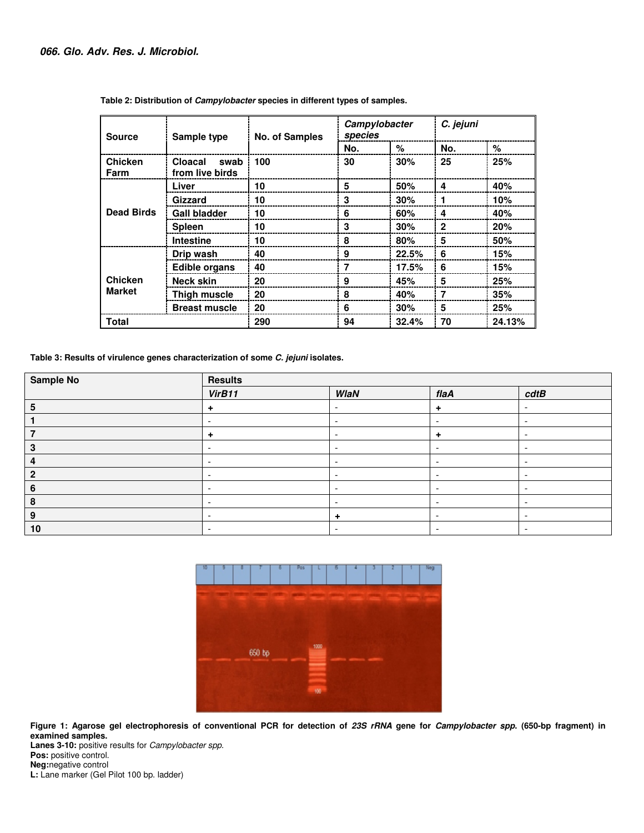| <b>Source</b>     | Sample type                        | <b>No. of Samples</b> | Campylobacter<br>species |       | C. jejuni    |        |
|-------------------|------------------------------------|-----------------------|--------------------------|-------|--------------|--------|
|                   |                                    |                       | No.                      | %     | No.          | %      |
| Chicken<br>Farm   | Cloacal<br>swab<br>from live birds | 100                   | 30                       | 30%   | 25           | 25%    |
|                   | Liver                              | 10                    | 5                        | 50%   | 4            | 40%    |
|                   | Gizzard                            | 10                    | 3                        | 30%   | 1            | 10%    |
| <b>Dead Birds</b> | <b>Gall bladder</b>                | 10                    | 6                        | 60%   | 4            | 40%    |
|                   | <b>Spleen</b>                      | 10                    | 3                        | 30%   | $\mathbf{2}$ | 20%    |
|                   | <b>Intestine</b>                   | 10                    | 8                        | 80%   | 5            | 50%    |
|                   | Drip wash                          | 40                    | 9                        | 22.5% | 6            | 15%    |
|                   | <b>Edible organs</b>               | 40                    | 7                        | 17.5% | 6            | 15%    |
| <b>Chicken</b>    | <b>Neck skin</b>                   | 20                    | 9                        | 45%   | 5            | 25%    |
| <b>Market</b>     | Thigh muscle                       | 20                    | 8                        | 40%   | 7            | 35%    |
|                   | <b>Breast muscle</b>               | 20                    | 6                        | 30%   | 5            | 25%    |
| <b>Total</b>      |                                    | 290                   | 94                       | 32.4% | 70           | 24.13% |

 **Table 2: Distribution of Campylobacter species in different types of samples.** 

**Table 3: Results of virulence genes characterization of some Results characterization of C. jejuni isolates.** 

| <b>Sample No</b> | <b>Results</b>           |                          |                          |                          |  |
|------------------|--------------------------|--------------------------|--------------------------|--------------------------|--|
|                  | VirB11                   | WlaN                     | flaA                     | cdtB                     |  |
|                  | ٠                        |                          | $\ddot{}$                |                          |  |
|                  |                          | -                        | $\overline{\phantom{a}}$ |                          |  |
|                  | $\ddot{\phantom{1}}$     | -                        | ÷                        | -                        |  |
|                  |                          |                          |                          |                          |  |
|                  | $\overline{\phantom{a}}$ | $\overline{\phantom{a}}$ | $\overline{\phantom{a}}$ | ۰                        |  |
| ּ                | $\overline{\phantom{0}}$ |                          | $\overline{\phantom{0}}$ |                          |  |
| О                | -                        | $\overline{\phantom{a}}$ | $\overline{\phantom{a}}$ |                          |  |
| 8                | $\overline{\phantom{a}}$ |                          | $\overline{\phantom{0}}$ |                          |  |
| 9                | $\overline{\phantom{0}}$ | $\ddot{}$                | $\overline{\phantom{a}}$ | $\overline{\phantom{a}}$ |  |
| 10               | $\overline{\phantom{0}}$ | -                        | $\overline{\phantom{a}}$ | -                        |  |



Figure 1: Agarose gel electrophoresis of conventional PCR for detection of 23S rRNA gene for *Campylobacter spp*. (650-bp fragment) in **examined samples.** 

Lanes 3-10: positive results for *Campylobacter spp*. **Pos:** positive control. **Neg:**negative control **L:** Lane marker (Gel Pilot 100 bp. ladder)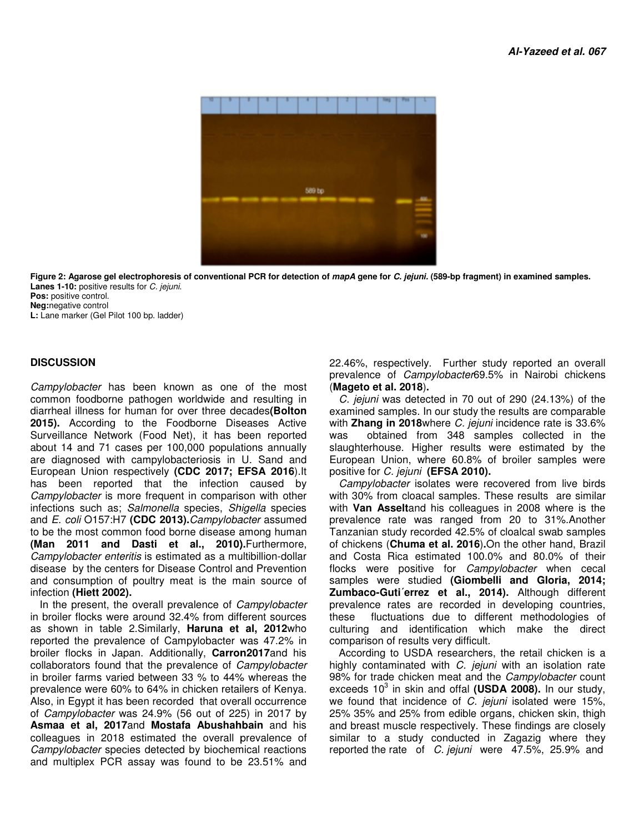

Figure 2: Agarose gel electrophoresis of conventional PCR for detection of *mapA* gene for *C. jejuni.* (589-bp fragment) in examined samples. **Lanes 1-10:** positive results for C. jejuni. **Pos:** positive control.

**Neg:**negative control

**L:** Lane marker (Gel Pilot 100 bp. ladder)

## **DISCUSSION**

Campylobacter has been known as one of the most common foodborne pathogen worldwide and resulting in diarrheal illness for human for over three decades(Bolton **2015).** According to the Foodborne Diseases Active Surveillance Network (Food Net), it has been reported Surveillance Network (Food Net), it has been reported<br>about 14 and 71 cases per 100,000 populations annually are diagnosed with campylobacteriosis in U. Sand and European Union respectively **(CDC 2017; EFSA 2016** ).It has been reported that the infection caused by Campylobacter is more frequent in comparison with other infections such as; Salmonella species, Shigella species and E. coli O157:H7 (CDC 2013).Campylobacter assumed to be the most common food borne disease among human **(Man 2011 and Dasti et al., 2010). 2010).**Furthermore, Campylobacter enteritis is estimated as a multibillion-dollar disease by the centers for Disease Control and Prevention and consumption of poultry meat is the main source of infection **(Hiett 2002).** Campylobacter has been known as one of the most<br>common foodborne pathogen worldwide and resulting in<br>diarrheal illness for human for over three decades(**Bolton** been known as one of the most 22.46%, respectively. Further study reported and paper of carry interest of Magneton and for over three decases (Bolton examined samples. In our study the results of the Food Nel), it has bee

In the present, the overall prevalence of Campylobacter in broiler flocks were around 32.4% from different sources as shown in table 2.Similarly, Haruna et al, 2012who reported the prevalence of Campylobacter was 47.2% in prevalence broiler flocks in Japan. Additionally, **Carron Carron2017**and his collaborators found that the prevalence of Campylobacter in broiler farms varied between 33 % to 44% whereas the prevalence were 60% to 64% in chicken retailers of Kenya. Also, in Egypt it has been recorded that overall occurrence of Campylobacter was 24.9% (56 out of 225) **Asmaa et al, 2017**and **Mostafa Abushahbain Abushahbain** and his colleagues in 2018 estimated the overall prevalence of Campylobacter species detected by biochemical reactions and multiplex PCR assay was found to be 23.51% and in broiler farms varied between 33 % to 44% whereas the<br>prevalence were 60% to 64% in chicken retailers of Kenya.<br>Also, in Egypt it has been recorded that overall occurrence<br>of *Campylobacter* was 24.9% (56 out of 225) in

prevalence of *Campylobacter*69.5% in Nairobi chickens (**Mageto et al. 2018**)**.** 22.46%, respectively. Further study reported an overall

C. jejuni was detected in 70 out of 290 (24.13%) of the examined samples. In our study the results are comparable C. jejuni was detected in 70 out of 290 (24.13%) of the<br>examined samples. In our study the results are comparable<br>with **Zhang in 2018**where C. jejuni incidence rate is 33.6% was obtained from 348 samples collected in the was obtained from 348 samples collected in the<br>slaughterhouse. Higher results were estimated by the European Union, where 60.8% of broiler samples broiler samples were positive for C. jejuni **(EFSA 2010) 2010).**

Campylobacter isolates were recovered from live birds Campylobacter isolates were recovered from live birds<br>with 30% from cloacal samples. These results are similar with **Van Asselt**and his colleagues in 2008 where is the prevalence rate was ranged from 20 to 31%. 20 31%.Another Tanzanian study recorded 42.5% of cloalcal swab samples of chickens (**Chuma et al. 2016**) **.**On the other hand, Brazil and Costa Rica estimated 100.0% and 80.0% of their flocks were positive for *Campylobacter* when cecal samples were studied **(Giombelli and Gloria, 2014;**  samples were studied **(Giombelli and Gloria, 2014;**<br>**Zumbaco-Guti´errez et al., 2014).** Although different prevalence rates are recorded in developing countries, these fluctuations due to different methodologies of culturing and identification which make the direct comparison of results very difficult. evalence rates are recorded in developing countries,<br>ese fluctuations due to different methodologies of<br>ilturing and identification which make the direct<br>mparison of results very difficult.<br>According to USDA researchers, t

highly contaminated with C. jejuni with an isolation rate 98% for trade chicken meat and the Campylobacter count exceeds 10<sup>3</sup> in skin and offal (USDA 2008). In our study, we found that incidence of *C. jejuni* isolated were 15%, 25% 35% and 25% from edible organs, chicken skin, thigh 25% 35% and 25% from edible organs, chicken skin, thigh<br>and breast muscle respectively. These findings are closely similar to a study conducted in Zagazig where they<br>reported the rate of *C. jejuni* were 47.5%, 25.9% and reported the rate of C. jejuni were 47.5%, 25.9% and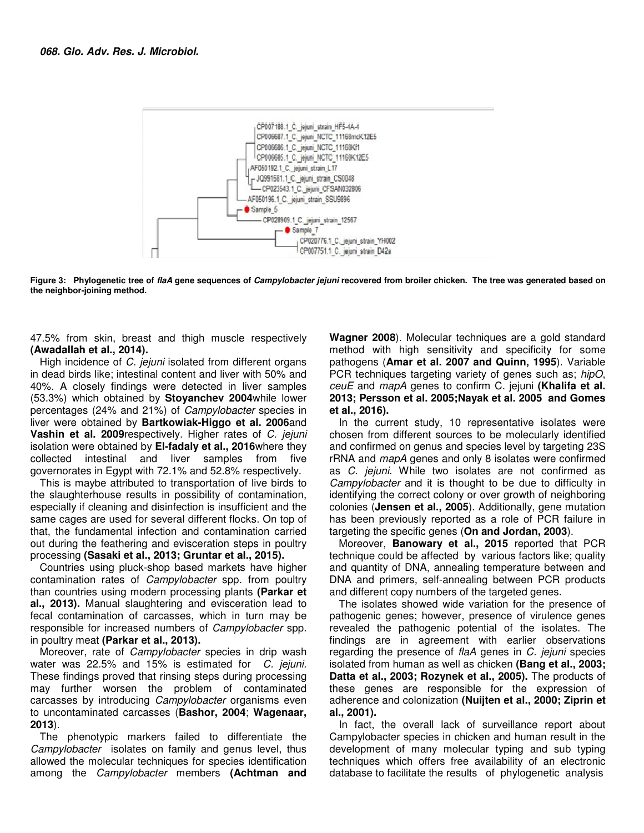

Figure 3: Phylogenetic tree of *flaA* gene sequences of *Campylobacter jejuni* recovered from broiler chicken. The tree was generated based on **the neighbor-joining method.** 

47.5% from skin, breast and thigh muscle respectively muscle respectively **(Awadallah et al., 2014).**

High incidence of *C. jejuni* isolated from different organs High incidence of *C. jejuni* isolated from different organs<br>in dead birds like; intestinal content and liver with 50% and 40%. A closely findings were detected in liver samples 40%. A closely findings were detected in liver samples<br>(53.3%) which obtained by **Stoyanchev 2004**while lower percentages (24% and 21%) of *Campylobacter* species in liver were obtained by Bartkowiak-Higgo et al. 2006and **Vashin et al. 2009** respectively. Higher rates of C. jejuni isolation were obtained by El-fadaly et al., 2016 where they collected intestinal and liver samples from five governorates in Egypt with 72.1% and 52.8% respectively.

This is maybe attributed to transportation of live birds to the slaughterhouse results in possibility of contamination, especially if cleaning and disinfection is insufficient and the same cages are used for several different flocks. On top of that, the fundamental infection and contamination carried that, the fundamental infection and contamination carried<br>out during the feathering and evisceration steps in poultry processing **(Sasaki et al., 2013; Gruntar et al., 2015) al., 2015).** ed intestinal and liver samples from five<br>norates in Egypt with 72.1% and 52.8% respectively.<br>is maybe attributed to transportation of live birds to<br>aughterhouse results in possibility of contamination,<br>ially if cleaning a

Countries using pluck-shop based markets have higher contamination rates of Campylobacter spp. from poultry than countries using modern processing plants **(Parkar et al., 2013).** Manual slaughtering and evisceration lead to fecal contamination of carcasses, which in turn may be **al., 2013).** Manual slaughtering and evisceration lead to<br>fecal contamination of carcasses, which in turn may be<br>responsible for increased numbers of *Campylobacter* spp. in poultry meat **(Parkar et al., 2013).**

Moreover, rate of *Campylobacter* species in drip wash Moreover, rate of *Campylobacter* species in drip wash<br>water was 22.5% and 15% is estimated for *C. jejuni.* These findings proved that rinsing steps during processing may further worsen the problem of contaminated carcasses by introducing *Campylobacter* organisms even to uncontaminated carcasses (**Bashor, 2004 2004**; **Wagenaar, 2013**). insing steps during processing<br>problem of contaminated<br>ampylobacter organisms even

The phenotypic markers failed to differentiate the<br>a*mpylobacter* isolates on-family and-genus-level, thus Campylobacter isolates on family and genus level, thus allowed the molecular techniques for species identification among the Campylobacter members **(Achtman (Achtman and** 

Wagner 2008). Molecular techniques are a gold standard method with high sensitivity and specificity for some pathogens (**Amar et al. 2007 and Quinn, 1995** ). Variable PCR techniques targeting variety of genes such as; hipO, ceuE and mapA genes to confirm C. jejuni (Khalifa et al. 2013; Persson et al. 2005;Nayak et al. 2005 and Gomes **et al., 2016).**

In the current study, 10 representative isolates were chosen from different sources to be molecularly identified and confirmed on genus and species level by targeting 23S rRNA and mapA genes and only 8 isolates were confirmed as *C. jejuni*. While two isolates are not confirmed as Campylobacter and it is thought to be due to difficulty in identifying the correct colony or over growth of neighboring colonies (**Jensen et al., 2005**). Additionally, has been previously reported as a role of PCR failure in targeting the specific genes (**On and Jordan, 2003 2003**). the current study, 10 representative isolates were<br>sen from different sources to be molecularly identified<br>confirmed on genus and species level by targeting 23S<br>A and  $mapA$  genes and only 8 isolates were confirmed<br>C. jejun thought to be due to difficulty in<br>ony or over growth of neighboring<br>!005). Additionally, gene mutation

Moreover, **Banowary et al., 2015** reported that PCR technique could be affected by various factors like; quality and quantity of DNA, annealing temperature between and DNA and primers, self-annealing between PCR products<br>and different copy numbers of the targeted genes. and different copy numbers of the targeted genes

The isolates showed wide variation for the presence of pathogenic genes; however, presence of virulence genes pathogenic genes; however, presence of virulence genes<br>revealed the pathogenic potential of the isolates. The findings are in agreement with earlier observations findings are in agreement with earlier observations<br>regarding the presence of flaA genes in *C. jejuni* species isolated from human as well as chicken (Bang et al., 2003; **Datta et al., 2003; Rozynek et al., 2005 2005).** The products of these genes are responsible for the expression of adherence and colonization **(Nuijten et al., 2000; Ziprin et Ziprin al., 2001).**

In fact, the overall lack of surveillance report about<br>ampylobacter species in chicken and human result in the<br>evelopment of many molecular typing and sub typing Campylobacter species in chicken and human result in the development of many molecular typing and sub techniques which offers free availability of an electronic techniques which offers free availability of an electronic<br>database to facilitate the results of phylogenetic analysis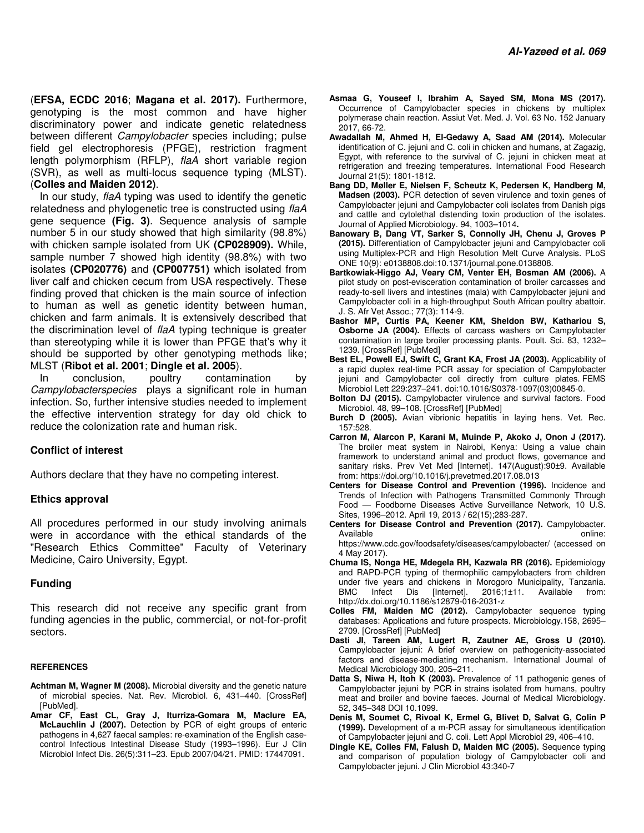(**EFSA, ECDC 2016**; **Magana et al. 2017).** Furthermore, genotyping is the most common and have higher discriminatory power and indicate genetic relatedness between different Campylobacter species including; pulse field gel electrophoresis (PFGE), restriction fragment length polymorphism (RFLP), flaA short variable region (SVR), as well as multi-locus sequence typing (MLST). (**Colles and Maiden 2012)**.

In our study, flaA typing was used to identify the genetic relatedness and phylogenetic tree is constructed using flaA gene sequence **(Fig. 3)**. Sequence analysis of sample number 5 in our study showed that high similarity (98.8%) with chicken sample isolated from UK **(CP028909).** While, sample number 7 showed high identity (98.8%) with two isolates **(CP020776)** and **(CP007751)** which isolated from liver calf and chicken cecum from USA respectively. These finding proved that chicken is the main source of infection to human as well as genetic identity between human, chicken and farm animals. It is extensively described that the discrimination level of flaA typing technique is greater than stereotyping while it is lower than PFGE that's why it should be supported by other genotyping methods like; MLST (**Ribot et al. 2001**; **Dingle et al. 2005**).

In conclusion, poultry contamination by Campylobacterspecies plays a significant role in human infection. So, further intensive studies needed to implement the effective intervention strategy for day old chick to reduce the colonization rate and human risk.

## **Conflict of interest**

Authors declare that they have no competing interest.

#### **Ethics approval**

All procedures performed in our study involving animals were in accordance with the ethical standards of the "Research Ethics Committee" Faculty of Veterinary Medicine, Cairo University, Egypt.

#### **Funding**

This research did not receive any specific grant from funding agencies in the public, commercial, or not-for-profit sectors.

#### **REFERENCES**

- **Achtman M, Wagner M (2008).** Microbial diversity and the genetic nature of microbial species. Nat. Rev. Microbiol. 6, 431–440. [CrossRef] [PubMed].
- **Amar CF, East CL, Gray J, Iturriza-Gomara M, Maclure EA, McLauchlin J (2007).** Detection by PCR of eight groups of enteric pathogens in 4,627 faecal samples: re-examination of the English casecontrol Infectious Intestinal Disease Study (1993–1996). Eur J Clin Microbiol Infect Dis. 26(5):311–23. Epub 2007/04/21. PMID: 17447091.
- **Asmaa G, Youseef I, Ibrahim A, Sayed SM, Mona MS (2017).**  Occurrence of Campylobacter species in chickens by multiplex polymerase chain reaction. Assiut Vet. Med. J. Vol. 63 No. 152 January 2017, 66-72.
- **Awadallah M, Ahmed H, El-Gedawy A, Saad AM (2014).** Molecular identification of C. jejuni and C. coli in chicken and humans, at Zagazig, Egypt, with reference to the survival of C. jejuni in chicken meat at refrigeration and freezing temperatures. International Food Research Journal 21(5): 1801-1812.
- **Bang DD, Møller E, Nielsen F, Scheutz K, Pedersen K, Handberg M, Madsen (2003).** PCR detection of seven virulence and toxin genes of Campylobacter jejuni and Campylobacter coli isolates from Danish pigs and cattle and cytolethal distending toxin production of the isolates. Journal of Applied Microbiology. 94, 1003–1014**.**
- **Banowary B, Dang VT, Sarker S, Connolly JH, Chenu J, Groves P (2015).** Differentiation of Campylobacter jejuni and Campylobacter coli using Multiplex-PCR and High Resolution Melt Curve Analysis. PLoS ONE 10(9): e0138808.doi:10.1371/journal.pone.0138808.
- **Bartkowiak-Higgo AJ, Veary CM, Venter EH, Bosman AM (2006).** A pilot study on post-evisceration contamination of broiler carcasses and ready-to-sell livers and intestines (mala) with Campylobacter jejuni and Campylobacter coli in a high-throughput South African poultry abattoir. J. S. Afr Vet Assoc.; 77(3): 114-9.
- **Bashor MP, Curtis PA, Keener KM, Sheldon BW, Kathariou S, Osborne JA (2004).** Effects of carcass washers on Campylobacter contamination in large broiler processing plants. Poult. Sci. 83, 1232– 1239. [CrossRef] [PubMed]
- **Best EL, Powell EJ, Swift C, Grant KA, Frost JA (2003).** Applicability of a rapid duplex real-time PCR assay for speciation of Campylobacter jejuni and Campylobacter coli directly from culture plates. FEMS Microbiol Lett 229:237–241. doi:10.1016/S0378-1097(03)00845-0.
- **Bolton DJ (2015).** Campylobacter virulence and survival factors. Food Microbiol. 48, 99–108. [CrossRef] [PubMed]
- **Burch D (2005).** Avian vibrionic hepatitis in laying hens. Vet. Rec. 157:528.
- **Carron M, Alarcon P, Karani M, Muinde P, Akoko J, Onon J (2017).**  The broiler meat system in Nairobi, Kenya: Using a value chain framework to understand animal and product flows, governance and sanitary risks. Prev Vet Med [Internet]. 147(August):90±9. Available from: https://doi.org/10.1016/j.prevetmed.2017.08.013
- **Centers for Disease Control and Prevention (1996).** Incidence and Trends of Infection with Pathogens Transmitted Commonly Through Food — Foodborne Diseases Active Surveillance Network, 10 U.S. Sites, 1996–2012. April 19, 2013 / 62(15);283-287.
- **Centers for Disease Control and Prevention (2017).** Campylobacter. Available **and a structure online:** https://www.cdc.gov/foodsafety/diseases/campylobacter/ (accessed on 4 May 2017).
- **Chuma IS, Nonga HE, Mdegela RH, Kazwala RR (2016).** Epidemiology and RAPD-PCR typing of thermophilic campylobacters from children under five years and chickens in Morogoro Municipality, Tanzania. BMC Infect Dis [Internet]. 2016;1±11. Available from: http://dx.doi.org/10.1186/s12879-016-2031-z
- **Colles FM, Maiden MC (2012).** Campylobacter sequence typing databases: Applications and future prospects. Microbiology.158, 2695– 2709. [CrossRef] [PubMed]
- **Dasti JI, Tareen AM, Lugert R, Zautner AE, Gross U (2010).**  Campylobacter jejuni: A brief overview on pathogenicity-associated factors and disease-mediating mechanism. International Journal of Medical Microbiology 300, 205–211.
- **Datta S, Niwa H, Itoh K (2003).** Prevalence of 11 pathogenic genes of Campylobacter jejuni by PCR in strains isolated from humans, poultry meat and broiler and bovine faeces. Journal of Medical Microbiology. 52, 345–348 DOI 10.1099.
- **Denis M, Soumet C, Rivoal K, Ermel G, Blivet D, Salvat G, Colin P (1999).** Development of a m-PCR assay for simultaneous identification of Campylobacter jejuni and C. coli. Lett Appl Microbiol 29, 406–410.
- **Dingle KE, Colles FM, Falush D, Maiden MC (2005).** Sequence typing and comparison of population biology of Campylobacter coli and Campylobacter jejuni. J Clin Microbiol 43:340-7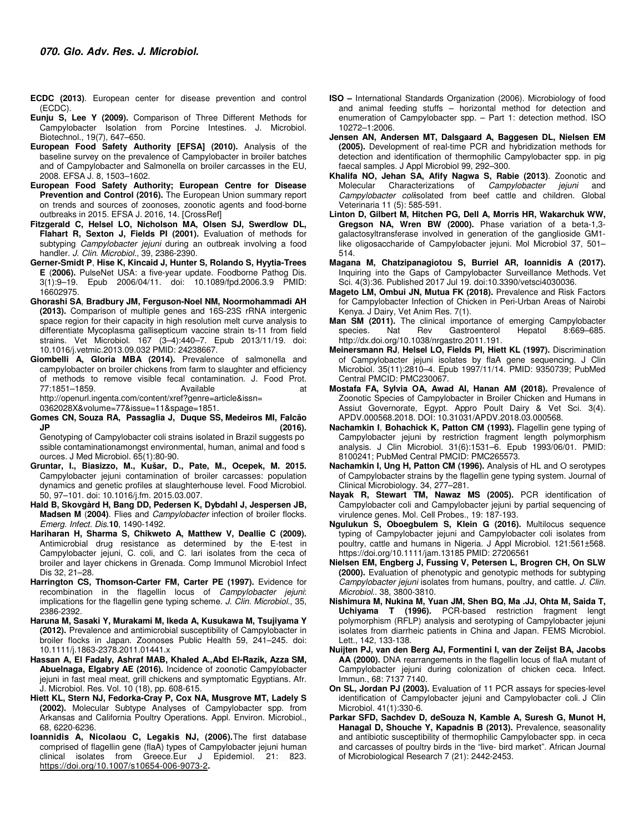- **ECDC (2013)**. European center for disease prevention and control (ECDC).
- **Eunju S, Lee Y (2009).** Comparison of Three Different Methods for Campylobacter Isolation from Porcine Intestines. J. Microbiol. Biotechnol., 19(7), 647–650.
- **European Food Safety Authority [EFSA] (2010).** Analysis of the baseline survey on the prevalence of Campylobacter in broiler batches and of Campylobacter and Salmonella on broiler carcasses in the EU, 2008. EFSA J. 8, 1503–1602.
- **European Food Safety Authority; European Centre for Disease Prevention and Control (2016).** The European Union summary report on trends and sources of zoonoses, zoonotic agents and food-borne outbreaks in 2015. EFSA J. 2016, 14. [CrossRef]
- **Fitzgerald C, Helsel LO, Nicholson MA, Olsen SJ, Swerdlow DL, Flahart R, Sexton J, Fields PI (2001).** Evaluation of methods for subtyping Campylobacter jejuni during an outbreak involving a food handler. J. Clin. Microbiol., 39, 2386-2390.
- **Gerner-Smidt P**, **Hise K, Kincaid J, Hunter S, Rolando S, Hyytia-Trees E** (**2006).** PulseNet USA: a five-year update. Foodborne Pathog Dis. 3(1):9–19. Epub 2006/04/11. doi: 10.1089/fpd.2006.3.9 PMID: 16602975.
- **Ghorashi SA**, **Bradbury JM, Ferguson-Noel NM, Noormohammadi AH (2013).** Comparison of multiple genes and 16S-23S rRNA intergenic space region for their capacity in high resolution melt curve analysis to differentiate Mycoplasma gallisepticum vaccine strain ts-11 from field strains. Vet Microbiol. 167 (3–4):440–7. Epub 2013/11/19. doi: 10.1016/j.vetmic.2013.09.032 PMID: 24238667.
- **Giombelli A, Gloria MBA (2014).** Prevalence of salmonella and campylobacter on broiler chickens from farm to slaughter and efficiency of methods to remove visible fecal contamination. J. Food Prot. 77:1851–1859. Available at http://openurl.ingenta.com/content/xref?genre=article&issn=

0362028X&volume=77&issue=11&spage=1851.

**Gomes CN, Souza RA, Passaglia J, Duque SS, Medeiros MI, Falcão JP (2016).** 

Genotyping of Campylobacter coli strains isolated in Brazil suggests po ssible contaminationamongst environmental, human, animal and food s ources. J Med Microbiol. 65(1):80-90.

- **Gruntar, I., Biasizzo, M., Kušar, D., Pate, M., Ocepek, M. 2015.**  Campylobacter jejuni contamination of broiler carcasses: population dynamics and genetic profiles at slaughterhouse level. Food Microbiol. 50, 97–101. doi: 10.1016/j.fm. 2015.03.007.
- **Hald B, Skovgàrd H, Bang DD, Pedersen K, Dybdahl J, Jespersen JB, Madsen M** (**2004)**. Flies and Campylobacter infection of broiler flocks. Emerg. Infect. Dis.**10**, 1490-1492.
- **Hariharan H, Sharma S, Chikweto A, Matthew V, Deallie C (2009).** Antimicrobial drug resistance as determined by the E-test in Campylobacter jejuni, C. coli, and C. lari isolates from the ceca of broiler and layer chickens in Grenada. Comp Immunol Microbiol Infect Dis 32, 21–28.
- **Harrington CS, Thomson-Carter FM, Carter PE (1997).** Evidence for recombination in the flagellin locus of Campylobacter jejuni: implications for the flagellin gene typing scheme. J. Clin. Microbiol., 35, 2386-2392.
- **Haruna M, Sasaki Y, Murakami M, Ikeda A, Kusukawa M, Tsujiyama Y (2012).** Prevalence and antimicrobial susceptibility of Campylobacter in broiler flocks in Japan. Zoonoses Public Health 59, 241–245. doi: 10.1111/j.1863-2378.2011.01441.x
- **Hassan A, El Fadaly, Ashraf MAB, Khaled A.,Abd El-Razik, Azza SM, Abuelnaga, Elgabry AE (2016).** Incidence of zoonotic Campylobacter jejuni in fast meal meat, grill chickens and symptomatic Egyptians. Afr. J. Microbiol. Res. Vol. 10 (18), pp. 608-615.
- **Hiett KL, Stern NJ, Fedorka-Cray P, Cox NA, Musgrove MT, Ladely S (2002).** Molecular Subtype Analyses of Campylobacter spp. from Arkansas and California Poultry Operations. Appl. Environ. Microbiol., 68, 6220-6236.
- **Ioannidis A, Nicolaou C, Legakis NJ, (2006).**The first database comprised of flagellin gene (flaA) types of Campylobacter jejuni human clinical isolates from Greece.Eur J Epidemiol. 21: 823. https://doi.org/10.1007/s10654-006-9073-2**.**
- **ISO** International Standards Organization (2006). Microbiology of food and animal feeding stuffs – horizontal method for detection and enumeration of Campylobacter spp. – Part 1: detection method. ISO 10272–1:2006.
- **Jensen AN, Andersen MT, Dalsgaard A, Baggesen DL, Nielsen EM (2005).** Development of real-time PCR and hybridization methods for detection and identification of thermophilic Campylobacter spp. in pig faecal samples. J Appl Microbiol 99, 292–300.
- **Khalifa NO, Jehan SA, Afify Nagwa S, Rabie (2013)**. Zoonotic and Molecular Characterizations of Campylobacter jejuni and Campylobacter colisolated from beef cattle and children. Global Veterinaria 11 (5): 585-591.
- **Linton D, Gilbert M, Hitchen PG, Dell A, Morris HR, Wakarchuk WW, Gregson NA, Wren BW (2000).** Phase variation of a beta-1,3 galactosyltransferase involved in generation of the ganglioside GM1 like oligosaccharide of Campylobacter jejuni. Mol Microbiol 37, 501– 514.
- **Magana M, Chatzipanagiotou S, Burriel AR, Ioannidis A (2017).**  Inquiring into the Gaps of Campylobacter Surveillance Methods. Vet Sci. 4(3):36. Published 2017 Jul 19. doi:10.3390/vetsci4030036.
- **Mageto LM, Ombui JN, Mutua FK (2018).** Prevalence and Risk Factors for Campylobacter Infection of Chicken in Peri-Urban Areas of Nairobi Kenya. J Dairy, Vet Anim Res. 7(1).
- **Man SM (2011).** The clinical importance of emerging Campylobacter species. Nat Rev Gastroenterol Hepatol 8:669–685. species. Nat Rev Gastroenterol http://dx.doi.org/10.1038/nrgastro.2011.191.
- **Meinersmann RJ**, **Helsel LO, Fields PI, Hiett KL (1997).** Discrimination of Campylobacter jejuni isolates by flaA gene sequencing. J Clin Microbiol. 35(11):2810–4. Epub 1997/11/14. PMID: 9350739; PubMed Central PMCID: PMC230067.
- **Mostafa FA, Sylvia OA, Awad AI, Hanan AM (2018).** Prevalence of Zoonotic Species of Campylobacter in Broiler Chicken and Humans in Assiut Governorate, Egypt. Appro Poult Dairy & Vet Sci. 3(4). APDV.000568.2018. DOI: 10.31031/APDV.2018.03.000568.
- **Nachamkin I**, **Bohachick K, Patton CM (1993).** Flagellin gene typing of Campylobacter jejuni by restriction fragment length polymorphism analysis. J Clin Microbiol. 31(6):1531–6. Epub 1993/06/01. PMID: 8100241; PubMed Central PMCID: PMC265573.
- **Nachamkin I, Ung H, Patton CM (1996).** Analysis of HL and O serotypes of Campylobacter strains by the flagellin gene typing system. Journal of Clinical Microbiology. 34, 277–281.
- **Nayak R, Stewart TM, Nawaz MS (2005).** PCR identification of Campylobacter coli and Campylobacter jejuni by partial sequencing of virulence genes. Mol. Cell Probes., 19: 187-193.
- **Ngulukun S, Oboegbulem S, Klein G (2016).** Multilocus sequence typing of Campylobacter jejuni and Campylobacter coli isolates from poultry, cattle and humans in Nigeria. J Appl Microbiol. 121:561±568. https://doi.org/10.1111/jam.13185 PMID: 27206561
- **Nielsen EM, Engberg J, Fussing V, Petersen L, Brogren CH, On SLW (2000).** Evaluation of phenotypic and genotypic methods for subtyping Campylobacter jejuni isolates from humans, poultry, and cattle. J. Clin. Microbiol.. 38, 3800-3810.
- **Nishimura M, Nukina M, Yuan JM, Shen BQ, Ma .JJ, Ohta M, Saida T, Uchiyama T (1996).** PCR-based restriction fragment lengt polymorphism (RFLP) analysis and serotyping of Campylobacter jejuni isolates from diarrheic patients in China and Japan. FEMS Microbiol. Lett., 142, 133-138.
- **Nuijten PJ, van den Berg AJ, Formentini I, van der Zeijst BA, Jacobs AA (2000).** DNA rearrangements in the flagellin locus of flaA mutant of Campylobacter jejuni during colonization of chicken ceca. Infect. Immun., 68: 7137 7140.
- **On SL, Jordan PJ (2003).** Evaluation of 11 PCR assays for species-level identification of Campylobacter jejuni and Campylobacter coli. J Clin Microbiol. 41(1):330-6.
- **Parkar SFD, Sachdev D, deSouza N, Kamble A, Suresh G, Munot H, Hanagal D, Shouche Y, Kapadnis B (2013).** Prevalence, seasonality and antibiotic susceptibility of thermophilic Campylobacter spp. in ceca and carcasses of poultry birds in the "live- bird market". African Journal of Microbiological Research 7 (21): 2442-2453.